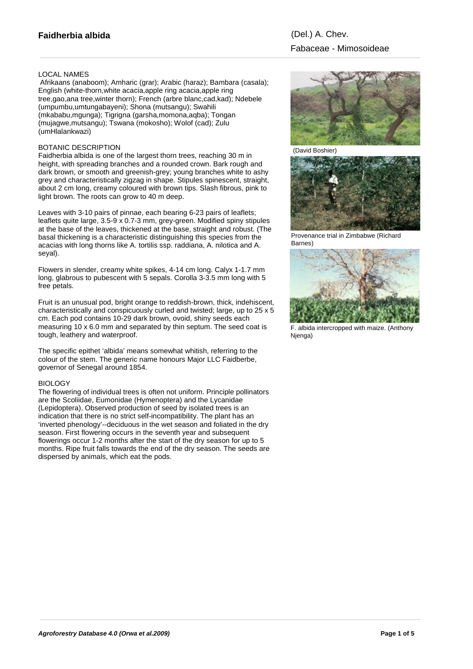# LOCAL NAMES

 Afrikaans (anaboom); Amharic (grar); Arabic (haraz); Bambara (casala); English (white-thorn,white acacia,apple ring acacia,apple ring tree,gao,ana tree,winter thorn); French (arbre blanc,cad,kad); Ndebele (umpumbu,umtungabayeni); Shona (mutsangu); Swahili (mkababu,mgunga); Tigrigna (garsha,momona,aqba); Tongan (mujagwe,mutsangu); Tswana (mokosho); Wolof (cad); Zulu (umHlalankwazi)

### BOTANIC DESCRIPTION

Faidherbia albida is one of the largest thorn trees, reaching 30 m in height, with spreading branches and a rounded crown. Bark rough and dark brown, or smooth and greenish-grey; young branches white to ashy grey and characteristically zigzag in shape. Stipules spinescent, straight, about 2 cm long, creamy coloured with brown tips. Slash fibrous, pink to light brown. The roots can grow to 40 m deep.

Leaves with 3-10 pairs of pinnae, each bearing 6-23 pairs of leaflets; leaflets quite large, 3.5-9 x 0.7-3 mm, grey-green. Modified spiny stipules at the base of the leaves, thickened at the base, straight and robust. (The basal thickening is a characteristic distinguishing this species from the acacias with long thorns like A. tortilis ssp. raddiana, A. nilotica and A. seyal).

Flowers in slender, creamy white spikes, 4-14 cm long. Calyx 1-1.7 mm long, glabrous to pubescent with 5 sepals. Corolla 3-3.5 mm long with 5 free petals.

Fruit is an unusual pod, bright orange to reddish-brown, thick, indehiscent, characteristically and conspicuously curled and twisted; large, up to 25 x 5 cm. Each pod contains 10-29 dark brown, ovoid, shiny seeds each measuring 10 x 6.0 mm and separated by thin septum. The seed coat is tough, leathery and waterproof.

The specific epithet 'albida' means somewhat whitish, referring to the colour of the stem. The generic name honours Major LLC Faidberbe, governor of Senegal around 1854.

#### **BIOLOGY**

The flowering of individual trees is often not uniform. Principle pollinators are the Scoliidae, Eumonidae (Hymenoptera) and the Lycanidae (Lepidoptera). Observed production of seed by isolated trees is an indication that there is no strict self-incompatibility. The plant has an 'inverted phenology'--deciduous in the wet season and foliated in the dry season. First flowering occurs in the seventh year and subsequent flowerings occur 1-2 months after the start of the dry season for up to 5 months. Ripe fruit falls towards the end of the dry season. The seeds are dispersed by animals, which eat the pods.



(David Boshier)



Provenance trial in Zimbabwe (Richard Barnes)



F. albida intercropped with maize. (Anthony Njenga)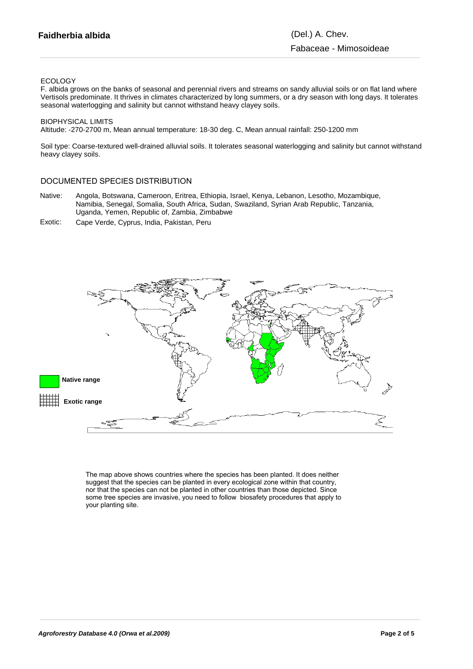## ECOLOGY

F. albida grows on the banks of seasonal and perennial rivers and streams on sandy alluvial soils or on flat land where Vertisols predominate. It thrives in climates characterized by long summers, or a dry season with long days. It tolerates seasonal waterlogging and salinity but cannot withstand heavy clayey soils.

### BIOPHYSICAL LIMITS

Altitude: -270-2700 m, Mean annual temperature: 18-30 deg. C, Mean annual rainfall: 250-1200 mm

Soil type: Coarse-textured well-drained alluvial soils. It tolerates seasonal waterlogging and salinity but cannot withstand heavy clayey soils.

# DOCUMENTED SPECIES DISTRIBUTION

- Native: Angola, Botswana, Cameroon, Eritrea, Ethiopia, Israel, Kenya, Lebanon, Lesotho, Mozambique, Namibia, Senegal, Somalia, South Africa, Sudan, Swaziland, Syrian Arab Republic, Tanzania, Uganda, Yemen, Republic of, Zambia, Zimbabwe
- Exotic: Cape Verde, Cyprus, India, Pakistan, Peru



The map above shows countries where the species has been planted. It does neither suggest that the species can be planted in every ecological zone within that country, nor that the species can not be planted in other countries than those depicted. Since some tree species are invasive, you need to follow biosafety procedures that apply to your planting site.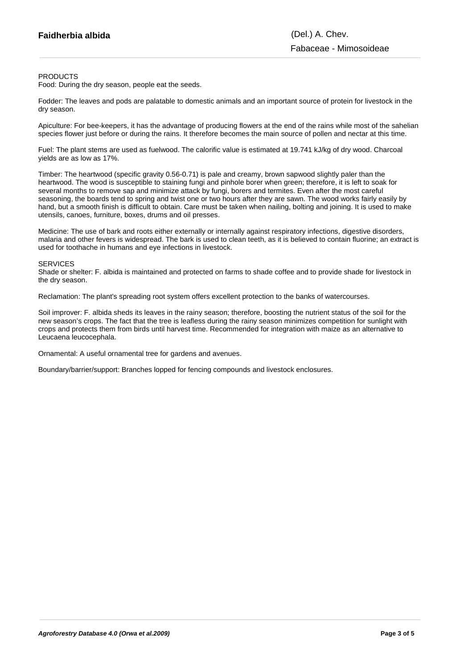### PRODUCTS

Food: During the dry season, people eat the seeds.

Fodder: The leaves and pods are palatable to domestic animals and an important source of protein for livestock in the dry season.

Apiculture: For bee-keepers, it has the advantage of producing flowers at the end of the rains while most of the sahelian species flower just before or during the rains. It therefore becomes the main source of pollen and nectar at this time.

Fuel: The plant stems are used as fuelwood. The calorific value is estimated at 19.741 kJ/kg of dry wood. Charcoal yields are as low as 17%.

Timber: The heartwood (specific gravity 0.56-0.71) is pale and creamy, brown sapwood slightly paler than the heartwood. The wood is susceptible to staining fungi and pinhole borer when green; therefore, it is left to soak for several months to remove sap and minimize attack by fungi, borers and termites. Even after the most careful seasoning, the boards tend to spring and twist one or two hours after they are sawn. The wood works fairly easily by hand, but a smooth finish is difficult to obtain. Care must be taken when nailing, bolting and joining. It is used to make utensils, canoes, furniture, boxes, drums and oil presses.

Medicine: The use of bark and roots either externally or internally against respiratory infections, digestive disorders, malaria and other fevers is widespread. The bark is used to clean teeth, as it is believed to contain fluorine; an extract is used for toothache in humans and eye infections in livestock.

#### **SERVICES**

Shade or shelter: F. albida is maintained and protected on farms to shade coffee and to provide shade for livestock in the dry season.

Reclamation: The plant's spreading root system offers excellent protection to the banks of watercourses.

Soil improver: F. albida sheds its leaves in the rainy season; therefore, boosting the nutrient status of the soil for the new season's crops. The fact that the tree is leafless during the rainy season minimizes competition for sunlight with crops and protects them from birds until harvest time. Recommended for integration with maize as an alternative to Leucaena leucocephala.

Ornamental: A useful ornamental tree for gardens and avenues.

Boundary/barrier/support: Branches lopped for fencing compounds and livestock enclosures.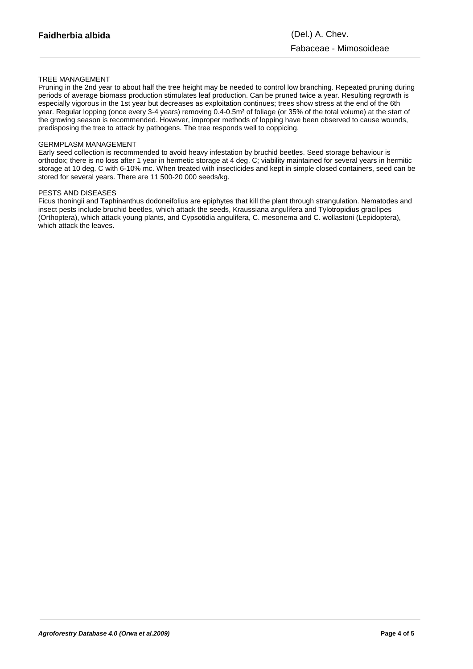# TREE MANAGEMENT

Pruning in the 2nd year to about half the tree height may be needed to control low branching. Repeated pruning during periods of average biomass production stimulates leaf production. Can be pruned twice a year. Resulting regrowth is especially vigorous in the 1st year but decreases as exploitation continues; trees show stress at the end of the 6th year. Regular lopping (once every 3-4 years) removing 0.4-0.5m<sup>3</sup> of foliage (or 35% of the total volume) at the start of the growing season is recommended. However, improper methods of lopping have been observed to cause wounds, predisposing the tree to attack by pathogens. The tree responds well to coppicing.

## GERMPLASM MANAGEMENT

Early seed collection is recommended to avoid heavy infestation by bruchid beetles. Seed storage behaviour is orthodox; there is no loss after 1 year in hermetic storage at 4 deg. C; viability maintained for several years in hermitic storage at 10 deg. C with 6-10% mc. When treated with insecticides and kept in simple closed containers, seed can be stored for several years. There are 11 500-20 000 seeds/kg.

#### PESTS AND DISEASES

Ficus thoningii and Taphinanthus dodoneifolius are epiphytes that kill the plant through strangulation. Nematodes and insect pests include bruchid beetles, which attack the seeds, Kraussiana angulifera and Tylotropidius gracilipes (Orthoptera), which attack young plants, and Cypsotidia angulifera, C. mesonema and C. wollastoni (Lepidoptera), which attack the leaves.